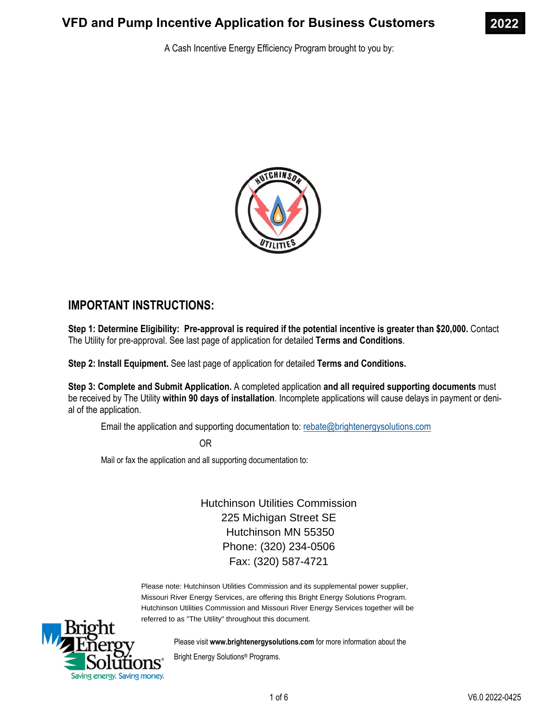

A Cash Incentive Energy Efficiency Program brought to you by:



# **IMPORTANT INSTRUCTIONS:**

**Step 1: Determine Eligibility: Pre-approval is required if the potential incentive is greater than \$20,000.** Contact The Utility for pre-approval. See last page of application for detailed **Terms and Conditions**.

**Step 2: Install Equipment.** See last page of application for detailed **Terms and Conditions.** 

**Step 3: Complete and Submit Application.** A completed application **and all required supporting documents** must be received by The Utility **within 90 days of installation**. Incomplete applications will cause delays in payment or denial of the application.

Email the application and supporting documentation to: rebate@brightenergysolutions.com

OR

Mail or fax the application and all supporting documentation to:

Hutchinson Utilities Commission 225 Michigan Street SE Hutchinson MN 55350 Phone: (320) 234-0506 Fax: (320) 587-4721

Please note: Hutchinson Utilities Commission and its supplemental power supplier, Missouri River Energy Services, are offering this Bright Energy Solutions Program. Hutchinson Utilities Commission and Missouri River Energy Services together will be referred to as "The Utility" throughout this document.



Please visit **www.brightenergysolutions.com** for more information about the

Bright Energy Solutions® Programs.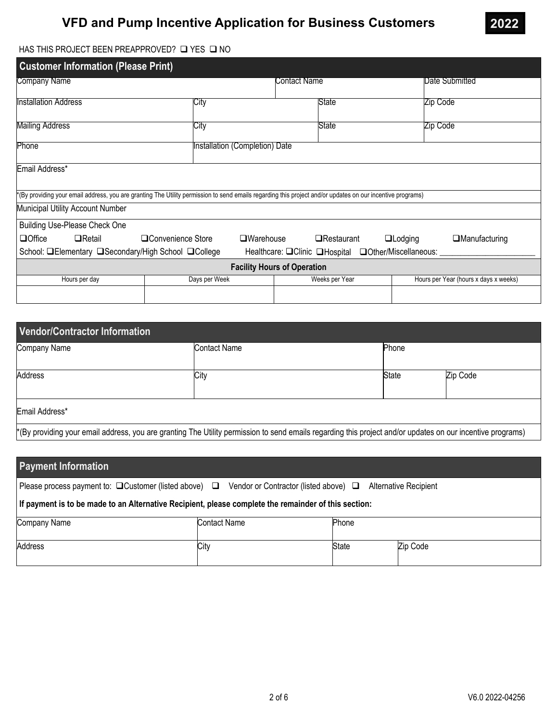

### HAS THIS PROJECT BEEN PREAPPROVED?  $\square$  YES  $\square$  NO

| <b>Customer Information (Please Print)</b>                                                                                                                |                                |                                                            |              |                |                      |                                       |                |
|-----------------------------------------------------------------------------------------------------------------------------------------------------------|--------------------------------|------------------------------------------------------------|--------------|----------------|----------------------|---------------------------------------|----------------|
| Company Name                                                                                                                                              |                                |                                                            | Contact Name |                |                      |                                       | Date Submitted |
| Installation Address                                                                                                                                      | City                           |                                                            |              | State          |                      | Zip Code                              |                |
| Mailing Address                                                                                                                                           | City                           |                                                            |              | State          |                      | Zip Code                              |                |
| <b>Phone</b>                                                                                                                                              | Installation (Completion) Date |                                                            |              |                |                      |                                       |                |
| Email Address*                                                                                                                                            |                                |                                                            |              |                |                      |                                       |                |
| (By providing your email address, you are granting The Utility permission to send emails regarding this project and/or updates on our incentive programs) |                                |                                                            |              |                |                      |                                       |                |
| Municipal Utility Account Number                                                                                                                          |                                |                                                            |              |                |                      |                                       |                |
| <b>Building Use-Please Check One</b>                                                                                                                      |                                |                                                            |              |                |                      |                                       |                |
| $\Box$ Office<br>$\Box$ Retail                                                                                                                            | □Convenience Store             | $\square$ Warehouse<br>$\Box$ Restaurant<br>$\Box$ Lodging |              |                | $\Box$ Manufacturing |                                       |                |
| School: <b>□Elementary □Secondary/High School □College</b><br>Healthcare: OClinic OHospital OOther/Miscellaneous:                                         |                                |                                                            |              |                |                      |                                       |                |
| <b>Facility Hours of Operation</b>                                                                                                                        |                                |                                                            |              |                |                      |                                       |                |
| Hours per day                                                                                                                                             | Days per Week                  |                                                            |              | Weeks per Year |                      | Hours per Year (hours x days x weeks) |                |
|                                                                                                                                                           |                                |                                                            |              |                |                      |                                       |                |

| Vendor/Contractor Information |                                                                                                                                                            |              |          |  |  |
|-------------------------------|------------------------------------------------------------------------------------------------------------------------------------------------------------|--------------|----------|--|--|
| Company Name                  | Contact Name                                                                                                                                               | Phone        |          |  |  |
| Address                       | City                                                                                                                                                       | <b>State</b> | Zip Code |  |  |
| Email Address*                |                                                                                                                                                            |              |          |  |  |
|                               | *(By providing your email address, you are granting The Utility permission to send emails regarding this project and/or updates on our incentive programs) |              |          |  |  |

| <b>Payment Information</b>                                                                           |                                            |              |                              |  |  |
|------------------------------------------------------------------------------------------------------|--------------------------------------------|--------------|------------------------------|--|--|
| Please process payment to: $\Box$ Customer (listed above) $\Box$                                     | Vendor or Contractor (listed above) $\Box$ |              | <b>Alternative Recipient</b> |  |  |
| If payment is to be made to an Alternative Recipient, please complete the remainder of this section: |                                            |              |                              |  |  |
| Company Name                                                                                         | <b>Contact Name</b>                        | Phone        |                              |  |  |
| Address                                                                                              | City                                       | <b>State</b> | Zip Code                     |  |  |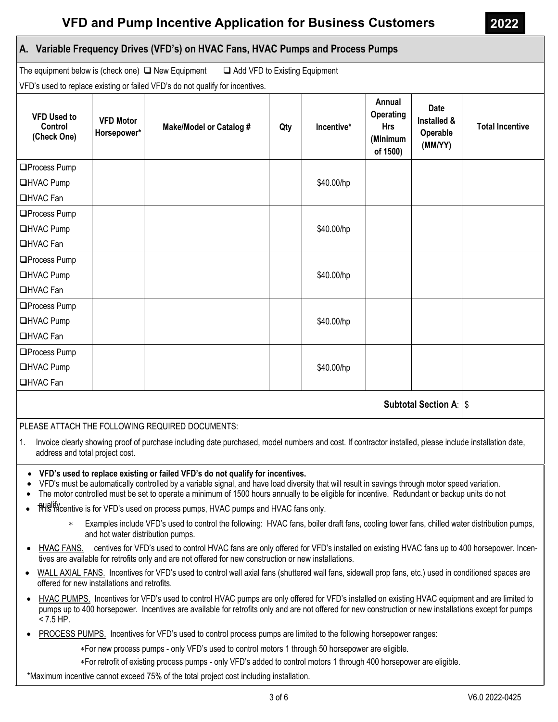# **A. Variable Frequency Drives (VFD's) on HVAC Fans, HVAC Pumps and Process Pumps**

The equipment below is (check one)  $\Box$  New Equipment  $\Box$  Add VFD to Existing Equipment

VFD's used to replace existing or failed VFD's do not qualify for incentives.

| <b>VFD Used to</b><br>Control<br>(Check One) | <b>VFD Motor</b><br>Horsepower* | <b>Make/Model or Catalog #</b> | Qty | Incentive* | Annual<br>Operating<br><b>Hrs</b><br>(Minimum<br>of 1500) | <b>Date</b><br>Installed &<br>Operable<br>(MM/YY) | <b>Total Incentive</b> |
|----------------------------------------------|---------------------------------|--------------------------------|-----|------------|-----------------------------------------------------------|---------------------------------------------------|------------------------|
| □Process Pump                                |                                 |                                |     |            |                                                           |                                                   |                        |
| <b>□HVAC Pump</b>                            |                                 |                                |     | \$40.00/hp |                                                           |                                                   |                        |
| <b>□HVAC Fan</b>                             |                                 |                                |     |            |                                                           |                                                   |                        |
| □Process Pump                                |                                 |                                |     |            |                                                           |                                                   |                        |
| <b>□HVAC Pump</b>                            |                                 |                                |     | \$40.00/hp |                                                           |                                                   |                        |
| □HVAC Fan                                    |                                 |                                |     |            |                                                           |                                                   |                        |
| □Process Pump                                |                                 |                                |     |            |                                                           |                                                   |                        |
| <b>□HVAC Pump</b>                            |                                 |                                |     | \$40.00/hp |                                                           |                                                   |                        |
| <b>□HVAC Fan</b>                             |                                 |                                |     |            |                                                           |                                                   |                        |
| □Process Pump                                |                                 |                                |     |            |                                                           |                                                   |                        |
| <b>□HVAC Pump</b>                            |                                 |                                |     | \$40.00/hp |                                                           |                                                   |                        |
| <b>□HVAC Fan</b>                             |                                 |                                |     |            |                                                           |                                                   |                        |
| □Process Pump                                |                                 |                                |     |            |                                                           |                                                   |                        |
| <b>□HVAC Pump</b>                            |                                 |                                |     | \$40.00/hp |                                                           |                                                   |                        |
| <b>□HVAC Fan</b>                             |                                 |                                |     |            |                                                           |                                                   |                        |
| <b>Subtotal Section A:   \$</b>              |                                 |                                |     |            |                                                           |                                                   |                        |

## PLEASE ATTACH THE FOLLOWING REQUIRED DOCUMENTS:

- 1. Invoice clearly showing proof of purchase including date purchased, model numbers and cost. If contractor installed, please include installation date, address and total project cost.
- **VFD's used to replace existing or failed VFD's do not qualify for incentives.**
- VFD's must be automatically controlled by a variable signal, and have load diversity that will result in savings through motor speed variation.
- The motor controlled must be set to operate a minimum of 1500 hours annually to be eligible for incentive. Redundant or backup units do not
- This incentive is for VFD's used on process pumps, HVAC pumps and HVAC fans only.
	- Examples include VFD's used to control the following: HVAC fans, boiler draft fans, cooling tower fans, chilled water distribution pumps, and hot water distribution pumps.
- HVAC FANS. centives for VFD's used to control HVAC fans are only offered for VFD's installed on existing HVAC fans up to 400 horsepower. Incentives are available for retrofits only and are not offered for new construction or new installations.
- WALL AXIAL FANS. Incentives for VFD's used to control wall axial fans (shuttered wall fans, sidewall prop fans, etc.) used in conditioned spaces are offered for new installations and retrofits.
- HVAC PUMPS. Incentives for VFD's used to control HVAC pumps are only offered for VFD's installed on existing HVAC equipment and are limited to pumps up to 400 horsepower. Incentives are available for retrofits only and are not offered for new construction or new installations except for pumps  $< 7.5$  HP.
- PROCESS PUMPS. Incentives for VFD's used to control process pumps are limited to the following horsepower ranges:

∗For new process pumps - only VFD's used to control motors 1 through 50 horsepower are eligible.

∗For retrofit of existing process pumps - only VFD's added to control motors 1 through 400 horsepower are eligible.

\*Maximum incentive cannot exceed 75% of the total project cost including installation.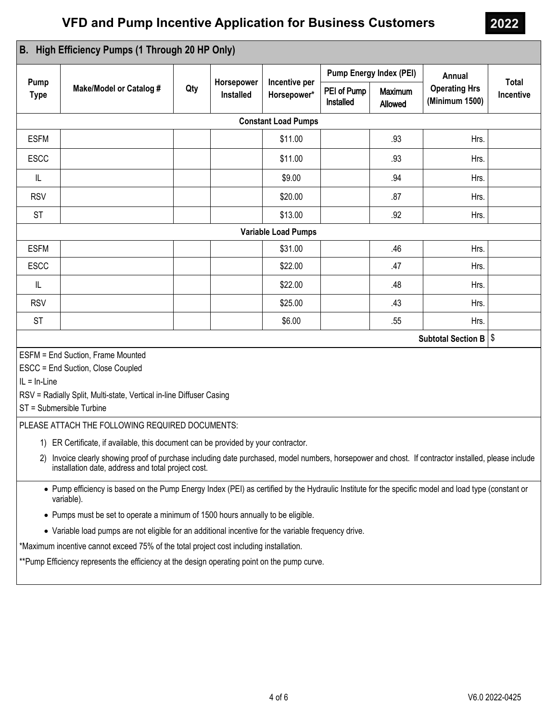| Pump<br><b>Type</b><br><b>ESFM</b><br><b>ESCC</b><br>IL<br><b>RSV</b><br><b>ST</b><br><b>ESFM</b><br><b>ESCC</b><br>IL                                                                                                                                                                       | <b>Make/Model or Catalog #</b> | Qty | Horsepower<br><b>Installed</b> | Incentive per<br>Horsepower*<br><b>Constant Load Pumps</b><br>\$11.00<br>\$11.00<br>\$9.00 | <b>Pump Energy Index (PEI)</b><br>PEI of Pump<br>Installed | Maximum<br>Allowed<br>.93<br>.93 | Annual<br><b>Operating Hrs</b><br>(Minimum 1500)<br>Hrs.<br>Hrs. | <b>Total</b><br>Incentive |
|----------------------------------------------------------------------------------------------------------------------------------------------------------------------------------------------------------------------------------------------------------------------------------------------|--------------------------------|-----|--------------------------------|--------------------------------------------------------------------------------------------|------------------------------------------------------------|----------------------------------|------------------------------------------------------------------|---------------------------|
|                                                                                                                                                                                                                                                                                              |                                |     |                                |                                                                                            |                                                            |                                  |                                                                  |                           |
|                                                                                                                                                                                                                                                                                              |                                |     |                                |                                                                                            |                                                            |                                  |                                                                  |                           |
|                                                                                                                                                                                                                                                                                              |                                |     |                                |                                                                                            |                                                            |                                  |                                                                  |                           |
|                                                                                                                                                                                                                                                                                              |                                |     |                                |                                                                                            |                                                            |                                  |                                                                  |                           |
|                                                                                                                                                                                                                                                                                              |                                |     |                                |                                                                                            |                                                            |                                  |                                                                  |                           |
|                                                                                                                                                                                                                                                                                              |                                |     |                                |                                                                                            |                                                            | .94                              | Hrs.                                                             |                           |
|                                                                                                                                                                                                                                                                                              |                                |     |                                | \$20.00                                                                                    |                                                            | .87                              | Hrs.                                                             |                           |
|                                                                                                                                                                                                                                                                                              |                                |     |                                | \$13.00                                                                                    |                                                            | .92                              | Hrs.                                                             |                           |
|                                                                                                                                                                                                                                                                                              |                                |     |                                | <b>Variable Load Pumps</b>                                                                 |                                                            |                                  |                                                                  |                           |
|                                                                                                                                                                                                                                                                                              |                                |     |                                | \$31.00                                                                                    |                                                            | .46                              | Hrs.                                                             |                           |
|                                                                                                                                                                                                                                                                                              |                                |     |                                | \$22.00                                                                                    |                                                            | .47                              | Hrs.                                                             |                           |
|                                                                                                                                                                                                                                                                                              |                                |     |                                | \$22.00                                                                                    |                                                            | .48                              | Hrs.                                                             |                           |
| <b>RSV</b>                                                                                                                                                                                                                                                                                   |                                |     |                                | \$25.00                                                                                    |                                                            | .43                              | Hrs.                                                             |                           |
| <b>ST</b>                                                                                                                                                                                                                                                                                    |                                |     |                                | \$6.00                                                                                     |                                                            | .55                              | Hrs.                                                             |                           |
| Subtotal Section B   \$                                                                                                                                                                                                                                                                      |                                |     |                                |                                                                                            |                                                            |                                  |                                                                  |                           |
| ESFM = End Suction, Frame Mounted<br>ESCC = End Suction, Close Coupled<br>$IL = In-Line$<br>RSV = Radially Split, Multi-state, Vertical in-line Diffuser Casing<br>ST = Submersible Turbine<br>PLEASE ATTACH THE FOLLOWING REQUIRED DOCUMENTS:                                               |                                |     |                                |                                                                                            |                                                            |                                  |                                                                  |                           |
|                                                                                                                                                                                                                                                                                              |                                |     |                                |                                                                                            |                                                            |                                  |                                                                  |                           |
| 1) ER Certificate, if available, this document can be provided by your contractor.<br>Invoice clearly showing proof of purchase including date purchased, model numbers, horsepower and chost. If contractor installed, please include<br>installation date, address and total project cost. |                                |     |                                |                                                                                            |                                                            |                                  |                                                                  |                           |
| • Pump efficiency is based on the Pump Energy Index (PEI) as certified by the Hydraulic Institute for the specific model and load type (constant or<br>variable).                                                                                                                            |                                |     |                                |                                                                                            |                                                            |                                  |                                                                  |                           |
| • Pumps must be set to operate a minimum of 1500 hours annually to be eligible.                                                                                                                                                                                                              |                                |     |                                |                                                                                            |                                                            |                                  |                                                                  |                           |
| • Variable load pumps are not eligible for an additional incentive for the variable frequency drive.                                                                                                                                                                                         |                                |     |                                |                                                                                            |                                                            |                                  |                                                                  |                           |
| *Maximum incentive cannot exceed 75% of the total project cost including installation.                                                                                                                                                                                                       |                                |     |                                |                                                                                            |                                                            |                                  |                                                                  |                           |
| ** Pump Efficiency represents the efficiency at the design operating point on the pump curve.                                                                                                                                                                                                |                                |     |                                |                                                                                            |                                                            |                                  |                                                                  |                           |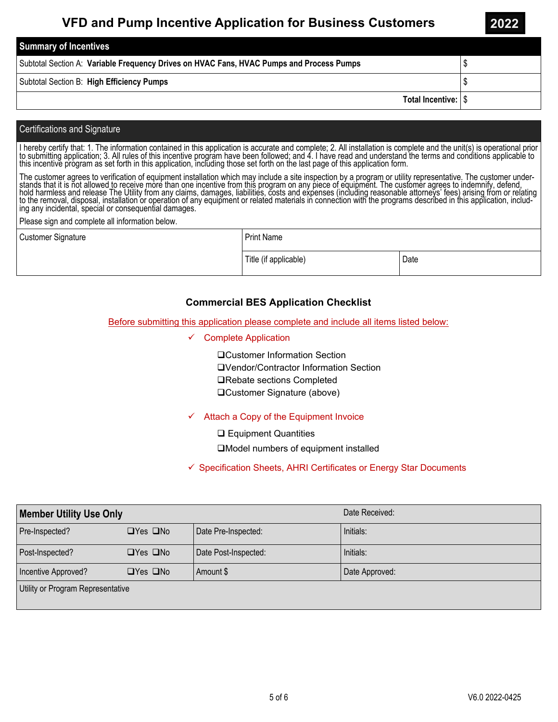| <b>Summary of Incentives</b>                                                             |  |
|------------------------------------------------------------------------------------------|--|
| Subtotal Section A: Variable Frequency Drives on HVAC Fans, HVAC Pumps and Process Pumps |  |
| Subtotal Section B: High Efficiency Pumps                                                |  |
| Total Incentive: S                                                                       |  |

#### Certifications and Signature

I hereby certify that: 1. The information contained in this application is accurate and complete; 2. All installation is complete and the unit(s) is operational prior<br>to submitting application; 3. All rules of this incenti

The customer agrees to verification of equipment installation which may include a site inspection by a program or utility representative. The customer under-Frequency of the district is not allowed to receive more than one incentive from this program on any piece of equipment. The customer agrees to indemnify, defend,<br>hold harmless and release The Utility from any claims, dama

Please sign and complete all information below.

| <b>Customer Signature</b> | <b>Print Name</b>     |      |  |  |
|---------------------------|-----------------------|------|--|--|
|                           | Title (if applicable) | Date |  |  |

## **Commercial BES Application Checklist**

Before submitting this application please complete and include all items listed below:

 $\checkmark$  Complete Application

Customer Information Section Vendor/Contractor Information Section **□Rebate sections Completed** Customer Signature (above)

## $\checkmark$  Attach a Copy of the Equipment Invoice

**□ Equipment Quantities** 

Model numbers of equipment installed

 $\checkmark$  Specification Sheets, AHRI Certificates or Energy Star Documents

| <b>Member Utility Use Only</b>    |                      |                      | Date Received: |  |  |
|-----------------------------------|----------------------|----------------------|----------------|--|--|
| Pre-Inspected?                    | $\Box$ Yes $\Box$ No | Date Pre-Inspected:  | Initials:      |  |  |
| Post-Inspected?                   | $\Box$ Yes $\Box$ No | Date Post-Inspected: | Initials:      |  |  |
| Incentive Approved?               | $\Box$ Yes $\Box$ No | Amount \$            | Date Approved: |  |  |
| Utility or Program Representative |                      |                      |                |  |  |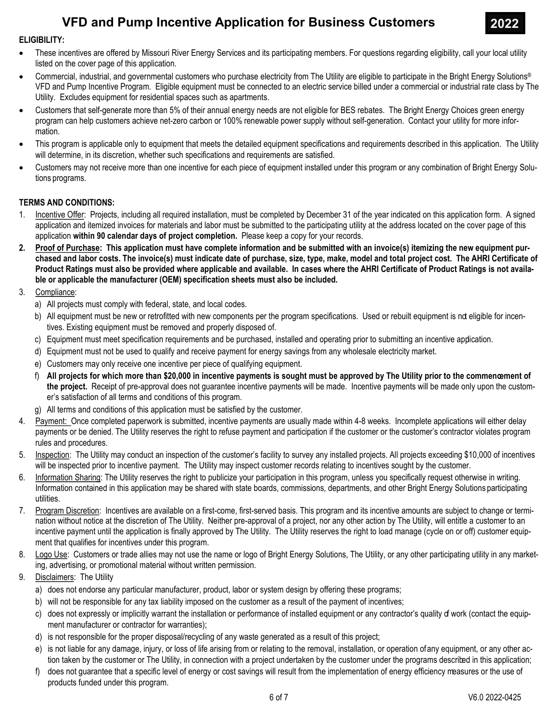

### ELIGIBILITY:

- · These incentives are offered by Missouri River Energy Services and its participating members. For questions regarding eligibility, call your local utility listed on the cover page of this application.
- Commercial, industrial, and governmental customers who purchase electricity from The Utility are eligible to participate in the Bright Energy Solutions® VFD and Pump Incentive Program. Eligible equipment must be connected to an electric service billed under a commercial or industrial rate class by The Utility. Excludes equipment for residential spaces such as apartments.
- · Customers that self-generate more than 5% of their annual energy needs are not eligible for BES rebates. The Bright Energy Choices green energy program can help customers achieve net-zero carbon or 100% renewable power supply without self-generation. Contact your utility for more information.
- · This program is applicable only to equipment that meets the detailed equipment specifications and requirements described in this application. The Utility will determine, in its discretion, whether such specifications and requirements are satisfied.
- · Customers may not receive more than one incentive for each piece of equipment installed under this program or any combination of Bright Energy Solutions programs.

### TERMS AND CONDITIONS:

- 1. Incentive Offer: Projects, including all required installation, must be completed by December 31 of the year indicated on this application form. A signed application and itemized invoices for materials and labor must be submitted to the participating utility at the address located on the cover page of this application within 90 calendar days of project completion. Please keep a copy for your records.
- 2. Proof of Purchase: This application must have complete information and be submitted with an invoice(s) itemizing the new equipment purchased and labor costs. The invoice(s) must indicate date of purchase, size, type, make, model and total project cost. The AHRI Certificate of Product Ratings must also be provided where applicable and available. In cases where the AHRI Certificate of Product Ratings is not available or applicable the manufacturer (OEM) specification sheets must also be included.
- 3. Compliance:
	- a) All projects must comply with federal, state, and local codes.
	- b) All equipment must be new or retrofitted with new components per the program specifications. Used or rebuilt equipment is nd eligible for incentives. Existing equipment must be removed and properly disposed of.
	- c) Equipment must meet specification requirements and be purchased, installed and operating prior to submitting an incentive application.
	- d) Equipment must not be used to qualify and receive payment for energy savings from any wholesale electricity market.
	- e) Customers may only receive one incentive per piece of qualifying equipment.
	- f) All projects for which more than \$20,000 in incentive payments is sought must be approved by The Utility prior to the commencement of the project. Receipt of pre-approval does not guarantee incentive payments will be made. Incentive payments will be made only upon the customer's satisfaction of all terms and conditions of this program.
	- g) All terms and conditions of this application must be satisfied by the customer.
- 4. Payment: Once completed paperwork is submitted, incentive payments are usually made within 4-8 weeks. Incomplete applications will either delay payments or be denied. The Utility reserves the right to refuse payment and participation if the customer or the customer's contractor violates program rules and procedures.
- 5. Inspection: The Utility may conduct an inspection of the customer's facility to survey any installed projects. All projects exceeding \$10,000 of incentives will be inspected prior to incentive payment. The Utility may inspect customer records relating to incentives sought by the customer.
- 6. Information Sharing: The Utility reserves the right to publicize your participation in this program, unless you specifically request otherwise in writing. Information contained in this application may be shared with state boards, commissions, departments, and other Bright Energy Solutions participating utilities.
- 7. Program Discretion: Incentives are available on a first-come, first-served basis. This program and its incentive amounts are subject to change or termination without notice at the discretion of The Utility. Neither pre-approval of a project, nor any other action by The Utility, will entitle a customer to an incentive payment until the application is finally approved by The Utility. The Utility reserves the right to load manage (cycle on or off) customer equipment that qualifies for incentives under this program.
- 8. Logo Use: Customers or trade allies may not use the name or logo of Bright Energy Solutions, The Utility, or any other participating utility in any marketing, advertising, or promotional material without written permission.
- 9. Disclaimers: The Utility
	- a) does not endorse any particular manufacturer, product, labor or system design by offering these programs;
	- b) will not be responsible for any tax liability imposed on the customer as a result of the payment of incentives;
	- c) does not expressly or implicitly warrant the installation or performance of installed equipment or any contractor's quality of work (contact the equipment manufacturer or contractor for warranties);
	- d) is not responsible for the proper disposal/recycling of any waste generated as a result of this project;
	- e) is not liable for any damage, injury, or loss of life arising from or relating to the removal, installation, or operation of any equipment, or any other action taken by the customer or The Utility, in connection with a project undertaken by the customer under the programs described in this application;
	- f) does not guarantee that a specific level of energy or cost savings will result from the implementation of energy efficiency measures or the use of products funded under this program.